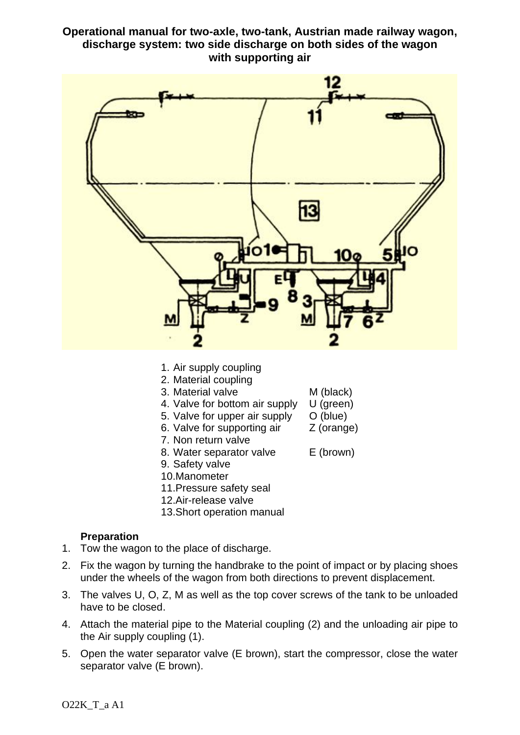# **Operational manual for two-axle, two-tank, Austrian made railway wagon, discharge system: two side discharge on both sides of the wagon with supporting air**



- 1. Air supply coupling
- 2. Material coupling
- 3. Material valve M (black)
- 
- 4. Valve for bottom air supply U (green)<br>5. Valve for upper air supply O (blue) 5. Valve for upper air supply
- 6. Valve for supporting air Z (orange)
- 7. Non return valve
- 8. Water separator valve E (brown)
- 9. Safety valve
- 10.Manometer
- 11.Pressure safety seal
- 12.Air-release valve
- 13.Short operation manual

### **Preparation**

- 1. Tow the wagon to the place of discharge.
- 2. Fix the wagon by turning the handbrake to the point of impact or by placing shoes under the wheels of the wagon from both directions to prevent displacement.
- 3. The valves U, O, Z, M as well as the top cover screws of the tank to be unloaded have to be closed.
- 4. Attach the material pipe to the Material coupling (2) and the unloading air pipe to the Air supply coupling (1).
- 5. Open the water separator valve (E brown), start the compressor, close the water separator valve (E brown).